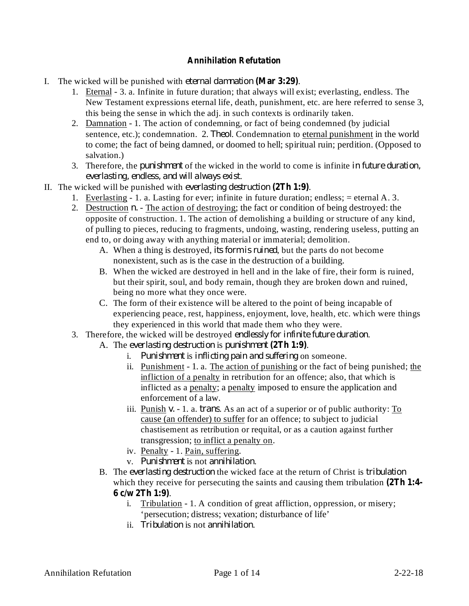## **Annihilation Refutation**

- I. The wicked will be punished with *eternal damnation* (Mar 3:29).
	- 1. Eternal 3. a. Infinite in future duration; that always will exist; everlasting, endless. The New Testament expressions eternal life, death, punishment, etc. are here referred to sense 3, this being the sense in which the adj. in such contexts is ordinarily taken.
	- 2. Damnation 1. The action of condemning, or fact of being condemned (by judicial sentence, etc.); condemnation. 2. *Theol*. Condemnation to eternal punishment in the world to come; the fact of being damned, or doomed to hell; spiritual ruin; perdition. (Opposed to salvation.)
	- 3. Therefore, the *punishment* of the wicked in the world to come is infinite in future duration, . *everlasting, endless, and will always exist*
- II. The wicked will be punished with *everlasting destruction* (2Th  $1:9$ ).
	- 1. Everlasting 1. a. Lasting for ever; infinite in future duration; endless; = eternal A. 3.
		- 2. Destruction *n*. The action of destroying; the fact or condition of being destroyed: the opposite of construction. 1. The action of demolishing a building or structure of any kind, of pulling to pieces, reducing to fragments, undoing, wasting, rendering useless, putting an end to, or doing away with anything material or immaterial; demolition.
			- A. When a thing is destroyed, *its form is ruined*, but the parts do not become nonexistent, such as is the case in the destruction of a building.
			- B. When the wicked are destroyed in hell and in the lake of fire, their form is ruined, but their spirit, soul, and body remain, though they are broken down and ruined, being no more what they once were.
			- C. The form of their existence will be altered to the point of being incapable of experiencing peace, rest, happiness, enjoyment, love, health, etc. which were things they experienced in this world that made them who they were.
		- 3. Therefore, the wicked will be destroyed endlessly for *infinite future duration*.
			- A. The everlasting destruction is punishment (2Th 1:9).
				- *i.* Punishment is inflicting pain and suffering on someone.
				- ii. Punishment 1. a. The action of punishing or the fact of being punished; the infliction of a penalty in retribution for an offence; also, that which is inflicted as a penalty; a penalty imposed to ensure the application and enforcement of a law.
				- iii. Punish *v.* 1. a. *trans*. As an act of a superior or of public authority: To cause (an offender) to suffer for an offence; to subject to judicial chastisement as retribution or requital, or as a caution against further transgression; to inflict a penalty on.
				- iv. Penalty 1. Pain, suffering.
				- v. Punishment is not annihilation.
			- B. The everlasting *destruction* the wicked face at the return of Christ is *tribulation* which they receive for persecuting the saints and causing them tribulation **(2Th 1:4-** . **6 c/w 2Th 1:9)**
				- i. Tribulation 1. A condition of great affliction, oppression, or misery; 'persecution; distress; vexation; disturbance of life'
				- ii. Tribulation is not annihilation.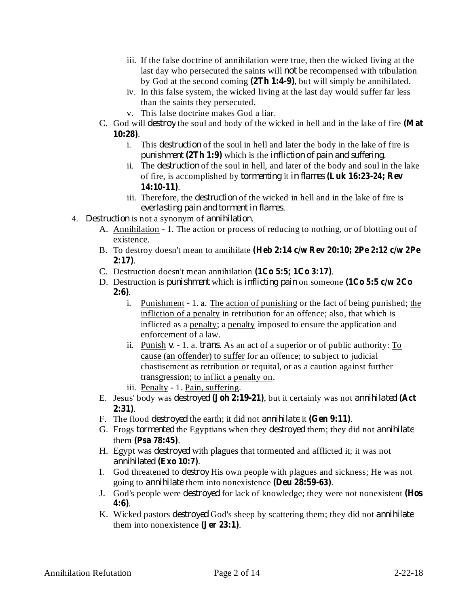- iii. If the false doctrine of annihilation were true, then the wicked living at the last day who persecuted the saints will *not* be recompensed with tribulation by God at the second coming (2Th 1:4-9), but will simply be annihilated.
- iv. In this false system, the wicked living at the last day would suffer far less than the saints they persecuted.
- v. This false doctrine makes God a liar.
- C. God will *destroy* the soul and body of the wicked in hell and in the lake of fire (Mat . **10:28)**
	- i. This *destruction* of the soul in hell and later the body in the lake of fire is punishment (2Th 1:9) which is the *infliction of pain and suffering*.
	- ii. The *destruction* of the soul in hell, and later of the body and soul in the lake of fire, is accomplished by it *tormenting in flames* **(Luk 16:23-24; Rev** . **14:10-11)**
	- iii. Therefore, the *destruction* of the wicked in hell and in the lake of fire is . *everlasting pain and torment in flames*
- 4. Destruction is not a synonym of annihilation.
	- A. Annihilation 1. The action or process of reducing to nothing, or of blotting out of existence.
	- B. To destroy doesn't mean to annihilate **(Heb 2:14 c/w Rev 20:10; 2Pe 2:12 c/w 2Pe** . **2:17)**
	- C. Destruction doesn't mean annihilation  $(1Co 5:5; 1Co 3:17)$ .
	- **D.** Destruction is *punishment* which is *inflicting pain* on someone (1Co 5:5 c/w 2Co . **2:6)**
		- i. Punishment 1. a. The action of punishing or the fact of being punished; the infliction of a penalty in retribution for an offence; also, that which is inflicted as a penalty; a penalty imposed to ensure the application and enforcement of a law.
		- ii. Punish v. 1. a. *trans*. As an act of a superior or of public authority: To cause (an offender) to suffer for an offence; to subject to judicial chastisement as retribution or requital, or as a caution against further transgression; to inflict a penalty on.
		- iii. Penalty 1. Pain, suffering.
	- E. Jesus' body was *destroyed* (Joh 2:19-21), but it certainly was not *annihilated* (Act . **2:31)**
	- F. The flood *destroyed* the earth; it did not *annihilate* it (Gen 9:11).
	- G. Frogs *tormented* the Egyptians when they *destroyed* them; they did not *annihilate* them (Psa 78:45).
	- H. Egypt was *destroyed* with plagues that tormented and afflicted it; it was not . *annihilated* **(Exo 10:7)**
	- I. God threatened to *destroy* His own people with plagues and sickness; He was not going to *annihilate* them into nonexistence (Deu 28:59-63).
	- J. God's people were *destroyed* for lack of knowledge; they were not nonexistent (Hos . **4:6)**
	- K. Wicked pastors *destroyed* God's sheep by scattering them; they did not *annihilate* them into nonexistence  $(\text{Jer } 23:1)$ .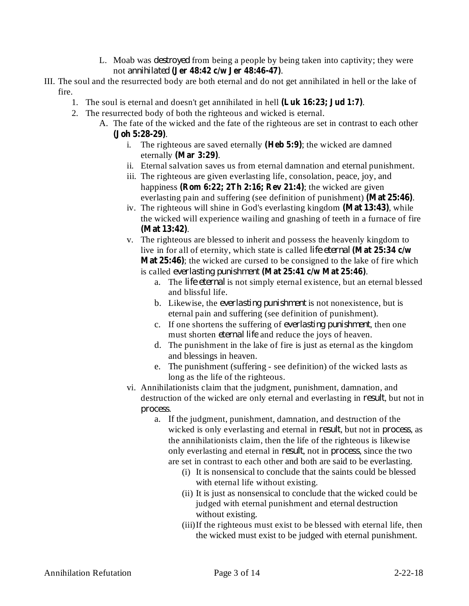- L. Moab was *destroyed* from being a people by being taken into captivity; they were not . *annihilated* **(Jer 48:42 c/w Jer 48:46-47)**
- III. The soul and the resurrected body are both eternal and do not get annihilated in hell or the lake of fire.
	- 1. The soul is eternal and doesn't get annihilated in hell (Luk 16:23; Jud 1:7).
	- 2. The resurrected body of both the righteous and wicked is eternal.
		- A. The fate of the wicked and the fate of the righteous are set in contrast to each other . **(Joh 5:28-29)**
			- i. The righteous are saved eternally (**Heb 5:9**); the wicked are damned eternally (Mar 3:29).
			- ii. Eternal salvation saves us from eternal damnation and eternal punishment.
			- iii. The righteous are given everlasting life, consolation, peace, joy, and happiness (**Rom 6:22; 2Th 2:16; Rev 21:4**); the wicked are given everlasting pain and suffering (see definition of punishment) (Mat 25:46).
			- iv. The righteous will shine in God's everlasting kingdom (Mat 13:43), while the wicked will experience wailing and gnashing of teeth in a furnace of fire . **(Mat 13:42)**
			- v. The righteous are blessed to inherit and possess the heavenly kingdom to live in for all of eternity, which state is called *life eternal* **(Mat 25:34 c/w Mat 25:46**); the wicked are cursed to be consigned to the lake of fire which is called everlasting punishment (Mat 25:41 c/w Mat 25:46).
				- a. The *life eternal* is not simply eternal existence, but an eternal blessed and blissful life.
				- b. Likewise, the *everlasting punishment* is not nonexistence, but is eternal pain and suffering (see definition of punishment).
				- c. If one shortens the suffering of *everlasting punishment*, then one must shorten *eternal life* and reduce the joys of heaven.
				- d. The punishment in the lake of fire is just as eternal as the kingdom and blessings in heaven.
				- e. The punishment (suffering see definition) of the wicked lasts as long as the life of the righteous.
			- vi. Annihilationists claim that the judgment, punishment, damnation, and destruction of the wicked are only eternal and everlasting in *result*, but not in . *process*
				- a. If the judgment, punishment, damnation, and destruction of the wicked is only everlasting and eternal in *result*, but not in *process*, as the annihilationists claim, then the life of the righteous is likewise only everlasting and eternal in *result*, not in *process*, since the two are set in contrast to each other and both are said to be everlasting.
					- (i) It is nonsensical to conclude that the saints could be blessed with eternal life without existing.
					- (ii) It is just as nonsensical to conclude that the wicked could be judged with eternal punishment and eternal destruction without existing.
					- (iii)If the righteous must exist to be blessed with eternal life, then the wicked must exist to be judged with eternal punishment.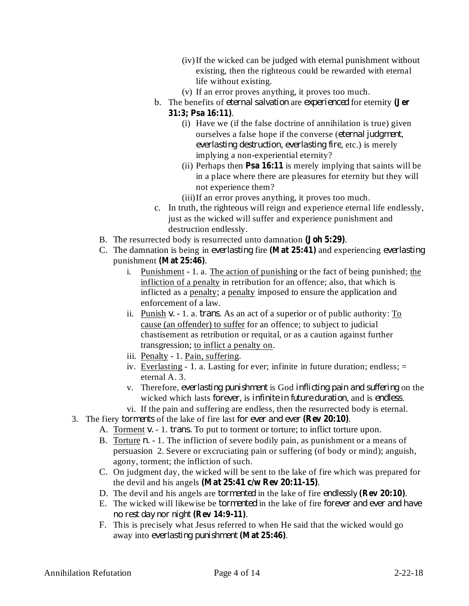- (iv)If the wicked can be judged with eternal punishment without existing, then the righteous could be rewarded with eternal life without existing.
- (v) If an error proves anything, it proves too much.
- **b**. The benefits of *eternal salvation* are *experienced* for eternity (Jer . **31:3; Psa 16:11)**
	- (i) Have we (if the false doctrine of annihilation is true) given ourselves a false hope if the converse (eternal *judgment*, *everlasting destruction, everlasting fire, etc.)* is merely implying a non-experiential eternity?
	- (ii) Perhaps then **Psa 16:11** is merely implying that saints will be in a place where there are pleasures for eternity but they will not experience them?
	- (iii)If an error proves anything, it proves too much.
- c. In truth, the righteous will reign and experience eternal life endlessly, just as the wicked will suffer and experience punishment and destruction endlessly.
- B. The resurrected body is resurrected unto damnation (**Joh 5:29**).
- C. The damnation is being in everlasting fire (Mat 25:41) and experiencing everlasting punishment (Mat 25:46).
	- i. Punishment 1. a. The action of punishing or the fact of being punished; the infliction of a penalty in retribution for an offence; also, that which is inflicted as a penalty; a penalty imposed to ensure the application and enforcement of a law.
	- ii. Punish v. 1. a. *trans*. As an act of a superior or of public authority: To cause (an offender) to suffer for an offence; to subject to judicial chastisement as retribution or requital, or as a caution against further transgression; to inflict a penalty on.
	- iii. Penalty 1. Pain, suffering.
	- iv. Everlasting 1. a. Lasting for ever; infinite in future duration; endless; = eternal A. 3.
	- v. Therefore, *everlasting punishment* is God *inflicting pain and suffering* on the wicked which lasts *forever*, is *infinite in future duration*, and is *endless*.
	- vi. If the pain and suffering are endless, then the resurrected body is eternal.
- 3. The fiery *torments* of the lake of fire last for *ever* and *ever* (Rev 20:10).
	- A. Torment *v.* 1. *trans.* To put to torment or torture; to inflict torture upon.
	- B. Torture *n.* 1. The infliction of severe bodily pain, as punishment or a means of persuasion 2. Severe or excruciating pain or suffering (of body or mind); anguish, agony, torment; the infliction of such.
	- C. On judgment day, the wicked will be sent to the lake of fire which was prepared for the devil and his angels . **(Mat 25:41 c/w Rev 20:11-15)**
	- D. The devil and his angels are *tormented* in the lake of fire *endlessly* (Rev 20:10).
	- E. The wicked will likewise be *tormented* in the lake of fire *forever and ever and have* . *no rest day nor night* **(Rev 14:9-11)**
	- F. This is precisely what Jesus referred to when He said that the wicked would go away into everlasting punishment (Mat 25:46).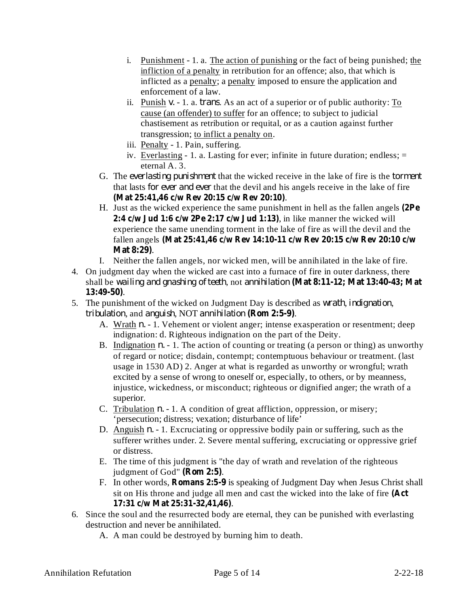- i. Punishment 1. a. The action of punishing or the fact of being punished; the infliction of a penalty in retribution for an offence; also, that which is inflicted as a penalty; a penalty imposed to ensure the application and enforcement of a law.
- ii. Punish v. 1. a. *trans*. As an act of a superior or of public authority: To cause (an offender) to suffer for an offence; to subject to judicial chastisement as retribution or requital, or as a caution against further transgression; to inflict a penalty on.
- iii. Penalty 1. Pain, suffering.
- iv. Everlasting 1. a. Lasting for ever; infinite in future duration; endless; = eternal A. 3.
- G. The everlasting *punishment* that the wicked receive in the lake of fire is the torment that lasts *for ever and ever* that the devil and his angels receive in the lake of fire . **(Mat 25:41,46 c/w Rev 20:15 c/w Rev 20:10)**
- H. Just as the wicked experience the same punishment in hell as the fallen angels **(2Pe** , in like manner the wicked will **2:4 c/w Jud 1:6 c/w 2Pe 2:17 c/w Jud 1:13)** experience the same unending torment in the lake of fire as will the devil and the fallen angels **(Mat 25:41,46 c/w Rev 14:10-11 c/w Rev 20:15 c/w Rev 20:10 c/w** . **Mat 8:29)**
- I. Neither the fallen angels, nor wicked men, will be annihilated in the lake of fire.
- 4. On judgment day when the wicked are cast into a furnace of fire in outer darkness, there shall be , not *wailing and gnashing of teeth annihilation* **(Mat 8:11-12; Mat 13:40-43; Mat** . **13:49-50)**
- 5. The punishment of the wicked on Judgment Day is described as *wrath*, *indignation*, *tribulation*, and *anguish*, NOT *annihilation* (**Rom 2:5-9**).
	- A. Wrath *n.* 1. Vehement or violent anger; intense exasperation or resentment; deep indignation: d. Righteous indignation on the part of the Deity.
	- B. Indignation *n*. 1. The action of counting or treating (a person or thing) as unworthy of regard or notice; disdain, contempt; contemptuous behaviour or treatment. (last usage in 1530 AD) 2. Anger at what is regarded as unworthy or wrongful; wrath excited by a sense of wrong to oneself or, especially, to others, or by meanness, injustice, wickedness, or misconduct; righteous or dignified anger; the wrath of a superior.
	- C. Tribulation *n*. 1. A condition of great affliction, oppression, or misery; 'persecution; distress; vexation; disturbance of life'
	- D. Anguish *n.* 1. Excruciating or oppressive bodily pain or suffering, such as the sufferer writhes under. 2. Severe mental suffering, excruciating or oppressive grief or distress.
	- E. The time of this judgment is "the day of wrath and revelation of the righteous judgment of God" (Rom 2:5).
	- F. In other words, **Romans** 2:5-9 is speaking of Judgment Day when Jesus Christ shall sit on His throne and judge all men and cast the wicked into the lake of fire **(Act** . **17:31 c/w Mat 25:31-32,41,46)**
- 6. Since the soul and the resurrected body are eternal, they can be punished with everlasting destruction and never be annihilated.
	- A. A man could be destroyed by burning him to death.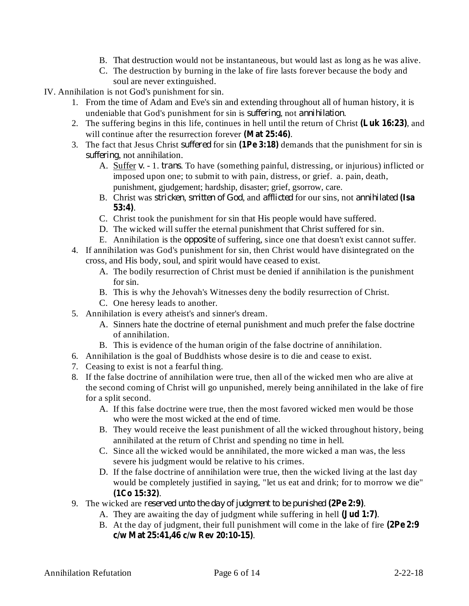- B. That destruction would not be instantaneous, but would last as long as he was alive.
- C. The destruction by burning in the lake of fire lasts forever because the body and soul are never extinguished.
- IV. Annihilation is not God's punishment for sin.
	- 1. From the time of Adam and Eve's sin and extending throughout all of human history, it is undeniable that God's punishment for sin is *suffering*, not *annihilation*.
	- 2. The suffering begins in this life, continues in hell until the return of Christ (Luk 16:23), and will continue after the resurrection forever (Mat 25:46).
	- 3. The fact that Jesus Christ *suffered* for sin (1Pe 3:18) demands that the punishment for sin is suffering, not annihilation.
		- A. Suffer v. 1. *trans*. To have (something painful, distressing, or injurious) inflicted or imposed upon one; to submit to with pain, distress, or grief. a. pain, death, punishment, gjudgement; hardship, disaster; grief, gsorrow, care.
		- B. Christ was *stricken*, *smitten of God*, and *afflicted* for our sins, not *annihilated* (Isa . **53:4)**
		- C. Christ took the punishment for sin that His people would have suffered.
		- D. The wicked will suffer the eternal punishment that Christ suffered for sin.
		- E. Annihilation is the *opposite* of suffering, since one that doesn't exist cannot suffer.
	- 4. If annihilation was God's punishment for sin, then Christ would have disintegrated on the cross, and His body, soul, and spirit would have ceased to exist.
		- A. The bodily resurrection of Christ must be denied if annihilation is the punishment for sin.
		- B. This is why the Jehovah's Witnesses deny the bodily resurrection of Christ.
		- C. One heresy leads to another.
	- 5. Annihilation is every atheist's and sinner's dream.
		- A. Sinners hate the doctrine of eternal punishment and much prefer the false doctrine of annihilation.
		- B. This is evidence of the human origin of the false doctrine of annihilation.
	- 6. Annihilation is the goal of Buddhists whose desire is to die and cease to exist.
	- 7. Ceasing to exist is not a fearful thing.
	- 8. If the false doctrine of annihilation were true, then all of the wicked men who are alive at the second coming of Christ will go unpunished, merely being annihilated in the lake of fire for a split second.
		- A. If this false doctrine were true, then the most favored wicked men would be those who were the most wicked at the end of time.
		- B. They would receive the least punishment of all the wicked throughout history, being annihilated at the return of Christ and spending no time in hell.
		- C. Since all the wicked would be annihilated, the more wicked a man was, the less severe his judgment would be relative to his crimes.
		- D. If the false doctrine of annihilation were true, then the wicked living at the last day would be completely justified in saying, "let us eat and drink; for to morrow we die" . **(1Co 15:32)**
	- 9. The wicked are *reserved unto the day of judgment to be punished* (2Pe 2:9).
		- A. They are awaiting the day of judgment while suffering in hell (**Jud 1:7**).
		- B. At the day of judgment, their full punishment will come in the lake of fire **(2Pe 2:9** . **c/w Mat 25:41,46 c/w Rev 20:10-15)**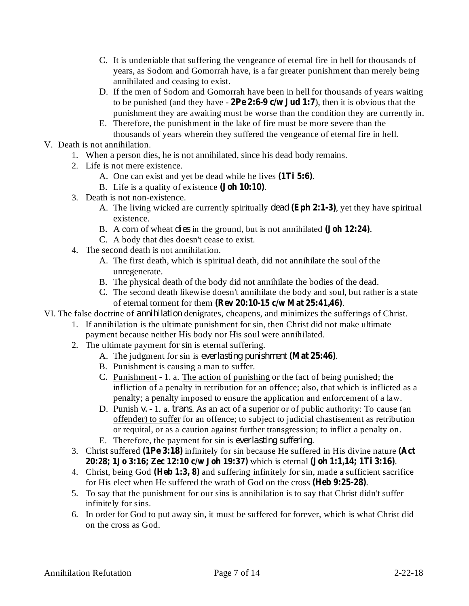- C. It is undeniable that suffering the vengeance of eternal fire in hell for thousands of years, as Sodom and Gomorrah have, is a far greater punishment than merely being annihilated and ceasing to exist.
- D. If the men of Sodom and Gomorrah have been in hell for thousands of years waiting to be punished (and they have  $-$  2Pe 2:6-9 c/w Jud 1:7), then it is obvious that the punishment they are awaiting must be worse than the condition they are currently in.
- E. Therefore, the punishment in the lake of fire must be more severe than the thousands of years wherein they suffered the vengeance of eternal fire in hell.
- V. Death is not annihilation.
	- 1. When a person dies, he is not annihilated, since his dead body remains.
	- 2. Life is not mere existence.
		- A. One can exist and yet be dead while he lives (1Ti 5:6).
		- B. Life is a quality of existence (**Joh 10:10**).
	- 3. Death is not non-existence.
		- A. The living wicked are currently spiritually *dead* (Eph 2:1-3), yet they have spiritual existence.
		- B. A corn of wheat *dies* in the ground, but is not annihilated (**Joh 12:24**).
		- C. A body that dies doesn't cease to exist.
	- 4. The second death is not annihilation.
		- A. The first death, which is spiritual death, did not annihilate the soul of the unregenerate.
		- B. The physical death of the body did not annihilate the bodies of the dead.
		- C. The second death likewise doesn't annihilate the body and soul, but rather is a state of eternal torment for them . **(Rev 20:10-15 c/w Mat 25:41,46)**
- VI. The false doctrine of *annihilation* denigrates, cheapens, and minimizes the sufferings of Christ.
	- 1. If annihilation is the ultimate punishment for sin, then Christ did not make ultimate payment because neither His body nor His soul were annihilated.
	- 2. The ultimate payment for sin is eternal suffering.
		- A. The judgment for sin is everlasting *punishment* (Mat 25:46).
		- B. Punishment is causing a man to suffer.
		- C. Punishment 1. a. The action of punishing or the fact of being punished; the infliction of a penalty in retribution for an offence; also, that which is inflicted as a penalty; a penalty imposed to ensure the application and enforcement of a law.
		- D. Punish v. 1. a. *trans*. As an act of a superior or of public authority: To cause (an offender) to suffer for an offence; to subject to judicial chastisement as retribution or requital, or as a caution against further transgression; to inflict a penalty on.
		- E. Therefore, the payment for sin is *everlasting suffering*.
	- 3. Christ suffered (1Pe 3:18) infinitely for sin because He suffered in His divine nature (Act which is eternal . **20:28; 1Jo 3:16; Zec 12:10 c/w Joh 19:37) (Joh 1:1,14; 1Ti 3:16)**
	- 4. Christ, being God (Heb 1:3, 8) and suffering infinitely for sin, made a sufficient sacrifice for His elect when He suffered the wrath of God on the cross (Heb 9:25-28).
	- 5. To say that the punishment for our sins is annihilation is to say that Christ didn't suffer infinitely for sins.
	- 6. In order for God to put away sin, it must be suffered for forever, which is what Christ did on the cross as God.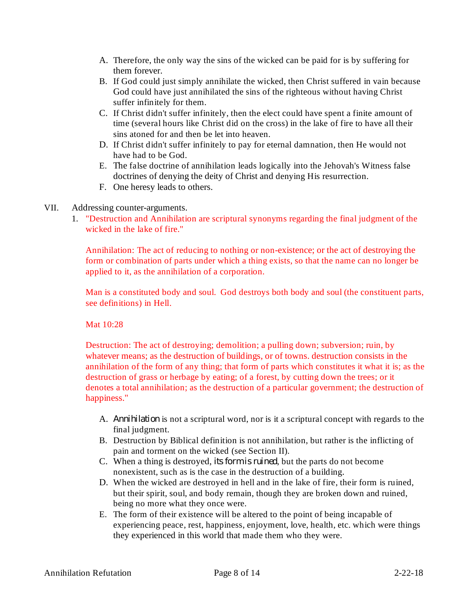- A. Therefore, the only way the sins of the wicked can be paid for is by suffering for them forever.
- B. If God could just simply annihilate the wicked, then Christ suffered in vain because God could have just annihilated the sins of the righteous without having Christ suffer infinitely for them.
- C. If Christ didn't suffer infinitely, then the elect could have spent a finite amount of time (several hours like Christ did on the cross) in the lake of fire to have all their sins atoned for and then be let into heaven.
- D. If Christ didn't suffer infinitely to pay for eternal damnation, then He would not have had to be God.
- E. The false doctrine of annihilation leads logically into the Jehovah's Witness false doctrines of denying the deity of Christ and denying His resurrection.
- F. One heresy leads to others.

## VII. Addressing counter-arguments.

1. "Destruction and Annihilation are scriptural synonyms regarding the final judgment of the wicked in the lake of fire."

Annihilation: The act of reducing to nothing or non-existence; or the act of destroying the form or combination of parts under which a thing exists, so that the name can no longer be applied to it, as the annihilation of a corporation.

Man is a constituted body and soul. God destroys both body and soul (the constituent parts, see definitions) in Hell.

Mat 10:28

Destruction: The act of destroying; demolition; a pulling down; subversion; ruin, by whatever means; as the destruction of buildings, or of towns. destruction consists in the annihilation of the form of any thing; that form of parts which constitutes it what it is; as the destruction of grass or herbage by eating; of a forest, by cutting down the trees; or it denotes a total annihilation; as the destruction of a particular government; the destruction of happiness."

- A. Annihilation is not a scriptural word, nor is it a scriptural concept with regards to the final judgment.
- B. Destruction by Biblical definition is not annihilation, but rather is the inflicting of pain and torment on the wicked (see Section II).
- C. When a thing is destroyed, *its form is ruined*, but the parts do not become nonexistent, such as is the case in the destruction of a building.
- D. When the wicked are destroyed in hell and in the lake of fire, their form is ruined, but their spirit, soul, and body remain, though they are broken down and ruined, being no more what they once were.
- E. The form of their existence will be altered to the point of being incapable of experiencing peace, rest, happiness, enjoyment, love, health, etc. which were things they experienced in this world that made them who they were.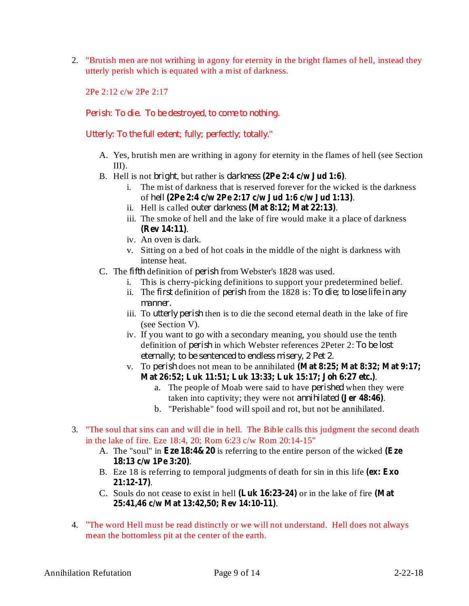2. "Brutish men are not writhing in agony for eternity in the bright flames of hell, instead they utterly perish which is equated with a mist of darkness.

2Pe 2:12 c/w 2Pe 2:17

*Perish: To die. To be destroyed, to come to nothing.*

" *Utterly: To the full extent; fully; perfectly; totally.*

- A. Yes, brutish men are writhing in agony for eternity in the flames of hell (see Section III).
- B. Hell is not *bright*, but rather is *darkness* (2Pe 2:4 c/w Jud 1:6).
	- i. The mist of darkness that is reserved forever for the wicked is the darkness of . *hell* **(2Pe 2:4 c/w 2Pe 2:17 c/w Jud 1:6 c/w Jud 1:13)**
	- ii. Hell is called outer darkness (Mat 8:12; Mat 22:13).
	- iii. The smoke of hell and the lake of fire would make it a place of darkness . **(Rev 14:11)**
	- iv. An oven is dark.
	- v. Sitting on a bed of hot coals in the middle of the night is darkness with intense heat.
- C. The *fifth* definition of *perish* from Webster's 1828 was used.
	- i. This is cherry-picking definitions to support your predetermined belief.
	- ii. The first definition of perish from the 1828 is: To die; to lose life in any *manner.*
	- iii. To *utterly perish* then is to die the second eternal death in the lake of fire (see Section V).
	- iv. If you want to go with a secondary meaning, you should use the tenth definition of *perish* in which Webster references 2Peter 2: To be lost . *eternally; to be sentenced to endless misery, 2 Pet 2*
	- **v.** To perish does not mean to be annihilated (Mat 8:25; Mat 8:32; Mat 9:17; . **Mat 26:52; Luk 11:51; Luk 13:33; Luk 15:17; Joh 6:27 etc.)**
		- a. The people of Moab were said to have *perished* when they were taken into captivity; they were not *annihilated* (Jer 48:46).
		- b. "Perishable" food will spoil and rot, but not be annihilated.
- 3. "The soul that sins can and will die in hell. The Bible calls this judgment the second death in the lake of fire. Eze 18:4, 20; Rom 6:23 c/w Rom 20:14-15"
	- A. The "soul" in **Eze 18:4&20** is referring to the entire person of the wicked (**Eze** . **18:13 c/w 1Pe 3:20)**
	- B. Eze 18 is referring to temporal judgments of death for sin in this life **(ex: Exo** . **21:12-17)**
	- C. Souls do not cease to exist in hell (Luk 16:23-24) or in the lake of fire (Mat . **25:41,46 c/w Mat 13:42,50; Rev 14:10-11)**
- 4. "The word Hell must be read distinctly or we will not understand. Hell does not always mean the bottomless pit at the center of the earth.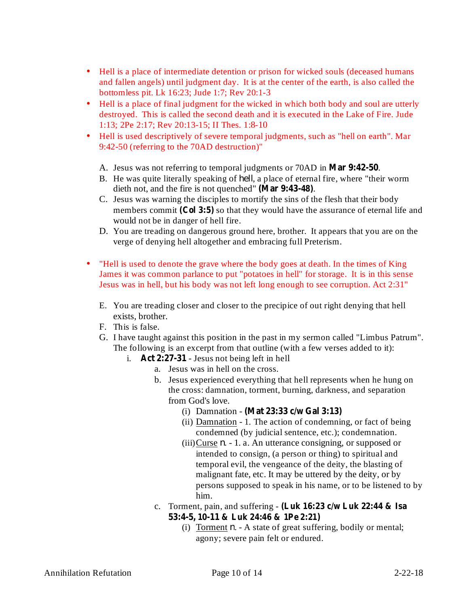- Hell is a place of intermediate detention or prison for wicked souls (deceased humans and fallen angels) until judgment day. It is at the center of the earth, is also called the bottomless pit. Lk 16:23; Jude 1:7; Rev 20:1-3
- Hell is a place of final judgment for the wicked in which both body and soul are utterly destroyed. This is called the second death and it is executed in the Lake of Fire. Jude 1:13; 2Pe 2:17; Rev 20:13-15; II Thes. 1:8-10 •
- Hell is used descriptively of severe temporal judgments, such as "hell on earth". Mar 9:42-50 (referring to the 70AD destruction)"
	- A. Jesus was not referring to temporal judgments or 70AD in Mar 9:42-50.
	- B. He was quite literally speaking of *hell*, a place of eternal fire, where "their worm dieth not, and the fire is not quenched" (Mar 9:43-48).
	- C. Jesus was warning the disciples to mortify the sins of the flesh that their body members commit (Col 3:5) so that they would have the assurance of eternal life and would not be in danger of hell fire.
	- D. You are treading on dangerous ground here, brother. It appears that you are on the verge of denying hell altogether and embracing full Preterism.
- "Hell is used to denote the grave where the body goes at death. In the times of King James it was common parlance to put "potatoes in hell" for storage. It is in this sense Jesus was in hell, but his body was not left long enough to see corruption. Act 2:31"
	- E. You are treading closer and closer to the precipice of out right denying that hell exists, brother.
	- F. This is false.
	- G. I have taught against this position in the past in my sermon called "Limbus Patrum". The following is an excerpt from that outline (with a few verses added to it):
		- i. Act  $2:27-31$  Jesus not being left in hell
			- a. Jesus was in hell on the cross.
			- b. Jesus experienced everything that hell represents when he hung on the cross: damnation, torment, burning, darkness, and separation from God's love.
				- (i) Damnation **(Mat 23:33 c/w Gal 3:13)**
				- (ii) Damnation 1. The action of condemning, or fact of being condemned (by judicial sentence, etc.); condemnation.
				- $(iii)$ Curse  $n. 1$ . a. An utterance consigning, or supposed or intended to consign, (a person or thing) to spiritual and temporal evil, the vengeance of the deity, the blasting of malignant fate, etc. It may be uttered by the deity, or by persons supposed to speak in his name, or to be listened to by him.
			- c. Torment, pain, and suffering **(Luk 16:23 c/w Luk 22:44 & Isa 53:4-5, 10-11 & Luk 24:46 & 1Pe 2:21)**
				- (i) Torment  $n.$  A state of great suffering, bodily or mental; agony; severe pain felt or endured.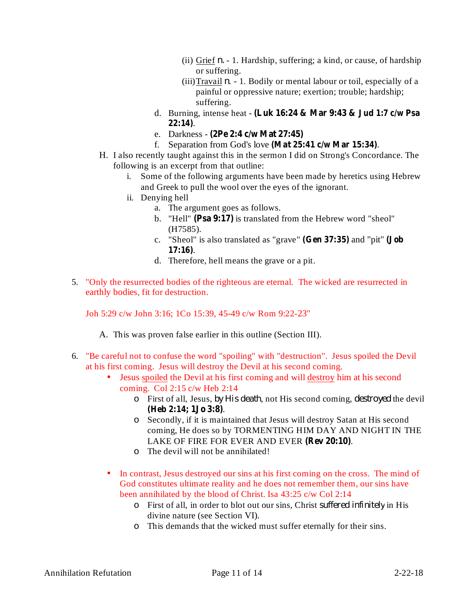- (ii) Grief  $n. 1$ . Hardship, suffering; a kind, or cause, of hardship or suffering.
- $(iii)$ Travail  $n. 1$ . Bodily or mental labour or toil, especially of a painful or oppressive nature; exertion; trouble; hardship; suffering.
- d. Burning, intense heat **(Luk 16:24 & Mar 9:43 & Jud 1:7 c/w Psa** . **22:14)**
- e. Darkness **(2Pe 2:4 c/w Mat 27:45)**
- f. Separation from God's love (Mat 25:41 **c/w** Mar 15:34).
- H. I also recently taught against this in the sermon I did on Strong's Concordance. The following is an excerpt from that outline:
	- i. Some of the following arguments have been made by heretics using Hebrew and Greek to pull the wool over the eyes of the ignorant.
	- ii. Denying hell
		- a. The argument goes as follows.
		- b. "Hell" (Psa 9:17) is translated from the Hebrew word "sheol" (H7585).
		- c. "Sheol" is also translated as "grave" (Gen 37:35) and "pit" (Job . **17:16)**
		- d. Therefore, hell means the grave or a pit.
- 5. "Only the resurrected bodies of the righteous are eternal. The wicked are resurrected in earthly bodies, fit for destruction.

Joh 5:29 c/w John 3:16; 1Co 15:39, 45-49 c/w Rom 9:22-23"

A. This was proven false earlier in this outline (Section III).

- 6. "Be careful not to confuse the word "spoiling" with "destruction". Jesus spoiled the Devil at his first coming. Jesus will destroy the Devil at his second coming.
	- Jesus spoiled the Devil at his first coming and will destroy him at his second coming. Col 2:15 c/w Heb 2:14
		- $\circ$  First of all, Jesus, by His death, not His second coming, destroyed the devil . **(Heb 2:14; 1Jo 3:8)**
		- Secondly, if it is maintained that Jesus will destroy Satan at His second o coming, He does so by TORMENTING HIM DAY AND NIGHT IN THE LAKE OF FIRE FOR EVER AND EVER (Rev 20:10).
		- The devil will not be annihilated! o
	- In contrast, Jesus destroyed our sins at his first coming on the cross. The mind of God constitutes ultimate reality and he does not remember them, our sins have been annihilated by the blood of Christ. Isa 43:25 c/w Col 2:14
		- o First of all, in order to blot out our sins, Christ *suffered infinitely* in His divine nature (see Section VI).
		- This demands that the wicked must suffer eternally for their sins. o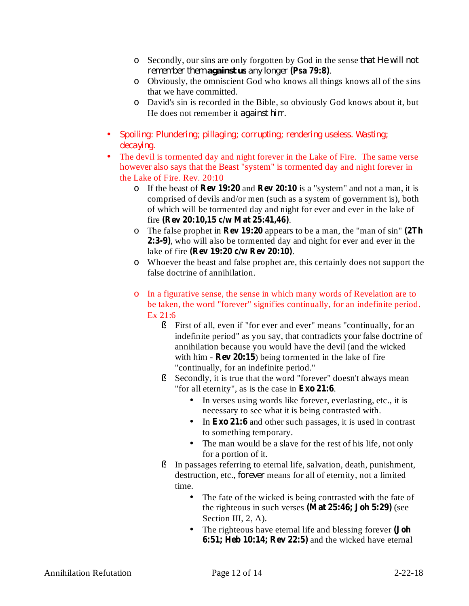- Secondly, our sins are only forgotten by God in the sense o *that He will not remember them against <i>us* any longer (Psa 79:8).
- Obviously, the omniscient God who knows all things knows all of the sins o that we have committed.
- David's sin is recorded in the Bible, so obviously God knows about it, but o He does not remember it *against him*.
- *Spoiling: Plundering; pillaging; corrupting; rendering useless. Wasting; decaying.*
- The devil is tormented day and night forever in the Lake of Fire. The same verse however also says that the Beast "system" is tormented day and night forever in the Lake of Fire. Rev. 20:10
	- o If the beast of **Rev** 19:20 and **Rev** 20:10 is a "system" and not a man, it is comprised of devils and/or men (such as a system of government is), both of which will be tormented day and night for ever and ever in the lake of fire . **(Rev 20:10,15 c/w Mat 25:41,46)**
	- o The false prophet in **Rev** 19:20 appears to be a man, the "man of sin" (2Th 2:3-9), who will also be tormented day and night for ever and ever in the lake of fire (**Rev** 19:20 **c/w Rev** 20:10).
	- Whoever the beast and false prophet are, this certainly does not support the o false doctrine of annihilation.
	- o In a figurative sense, the sense in which many words of Revelation are to be taken, the word "forever" signifies continually, for an indefinite period. Ex 21:6
		- First of all, even if "for ever and ever" means "continually, for an § indefinite period" as you say, that contradicts your false doctrine of annihilation because you would have the devil (and the wicked with him  $\cdot$  **Rev** 20:15) being tormented in the lake of fire "continually, for an indefinite period."
		- Secondly, it is true that the word "forever" doesn't always mean "for all eternity", as is the case in **Exo 21:6**. §
			- In verses using words like forever, everlasting, etc., it is necessary to see what it is being contrasted with.
			- In Exo 21:6 and other such passages, it is used in contrast to something temporary.
			- The man would be a slave for the rest of his life, not only for a portion of it.
		- In passages referring to eternal life, salvation, death, punishment, destruction, etc., *forever* means for all of eternity, not a limited time. §
			- The fate of the wicked is being contrasted with the fate of the righteous in such verses (Mat 25:46; Joh 5:29) (see Section III, 2, A).
			- The righteous have eternal life and blessing forever **(Joh 6:51; Heb 10:14; Rev 22:5)** and the wicked have eternal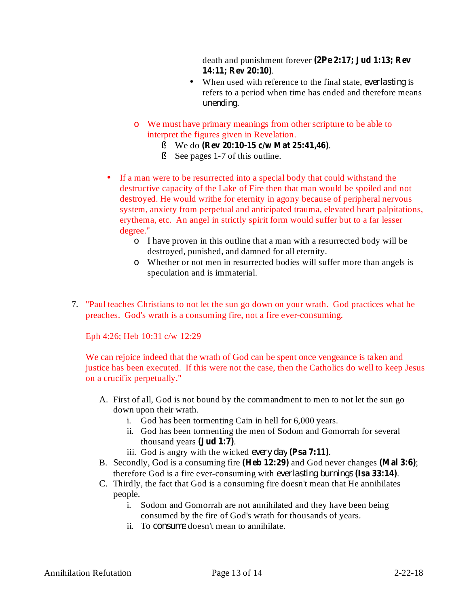death and punishment forever **(2Pe 2:17; Jud 1:13; Rev** . **14:11; Rev 20:10)**

- When used with reference to the final state, *everlasting* is refers to a period when time has ended and therefore means . *unending*
- We must have primary meanings from other scripture to be able to o interpret the figures given in Revelation.
	- § We do (Rev 20:10-15 c/w Mat 25:41,46).
	- See pages 1-7 of this outline. §
- If a man were to be resurrected into a special body that could withstand the destructive capacity of the Lake of Fire then that man would be spoiled and not destroyed. He would writhe for eternity in agony because of peripheral nervous system, anxiety from perpetual and anticipated trauma, elevated heart palpitations, erythema, etc. An angel in strictly spirit form would suffer but to a far lesser degree."
	- I have proven in this outline that a man with a resurrected body will be o destroyed, punished, and damned for all eternity.
	- Whether or not men in resurrected bodies will suffer more than angels is o speculation and is immaterial.
- 7. "Paul teaches Christians to not let the sun go down on your wrath. God practices what he preaches. God's wrath is a consuming fire, not a fire ever-consuming.

Eph 4:26; Heb 10:31 c/w 12:29

We can rejoice indeed that the wrath of God can be spent once vengeance is taken and justice has been executed. If this were not the case, then the Catholics do well to keep Jesus on a crucifix perpetually."

- A. First of all, God is not bound by the commandment to men to not let the sun go down upon their wrath.
	- i. God has been tormenting Cain in hell for 6,000 years.
	- ii. God has been tormenting the men of Sodom and Gomorrah for several thousand years (**Jud** 1:7).
	- iii. God is angry with the wicked *every day* (Psa 7:11).
- B. Secondly, God is a consuming fire (Heb 12:29) and God never changes (Mal 3:6); therefore God is a fire ever-consuming with *everlasting burnings* (Isa 33:14).
- C. Thirdly, the fact that God is a consuming fire doesn't mean that He annihilates people.
	- i. Sodom and Gomorrah are not annihilated and they have been being consumed by the fire of God's wrath for thousands of years.
	- ii. To consume doesn't mean to annihilate.